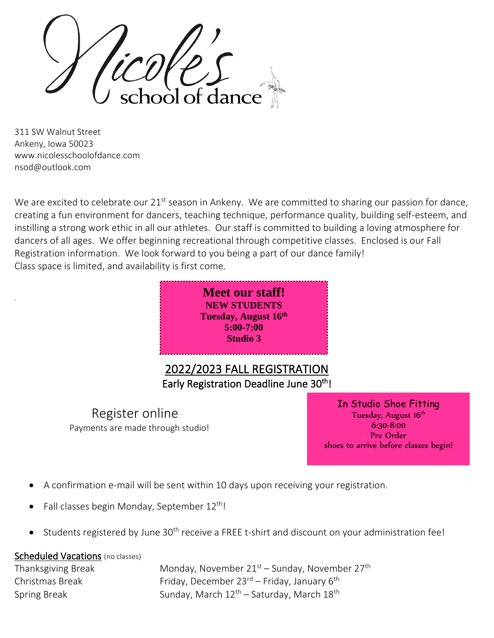ioòl of dar

311 SW Walnut Street Ankeny, Iowa 50023 [www.nicolesschoolofdance.com](http://www.nicolesschoolofdance.com/) [nsod@outlook.com](mailto:nsod@outlook.com)

`

We are excited to celebrate our 21<sup>st</sup> season in Ankeny. We are committed to sharing our passion for dance, creating a fun environment for dancers, teaching technique, performance quality, building self-esteem, and instilling a strong work ethic in all our athletes. Our staff is committed to building a loving atmosphere for dancers of all ages. We offer beginning recreational through competitive classes. Enclosed is our Fall Registration information. We look forward to you being a part of our dance family! Class space is limited, and availability is first come.



 Register online Payments are made through studio!

In Studio Shoe Fitting Tuesday, August 16<sup>th</sup> 6:30-8:00 Pre Order shoes to arrive before classes begin!

- A confirmation e-mail will be sent within 10 days upon receiving your registration.
- Fall classes begin Monday, September 12<sup>th</sup>!
- Students registered by June  $30<sup>th</sup>$  receive a FREE t-shirt and discount on your administration fee!

#### Scheduled Vacations (no classes)

Thanksgiving Break Monday, November  $21<sup>st</sup>$  – Sunday, November  $27<sup>th</sup>$ Christmas Break Friday, December 23<sup>rd</sup> – Friday, January 6<sup>th</sup> Spring Break Sunday, March  $12<sup>th</sup>$  – Saturday, March  $18<sup>th</sup>$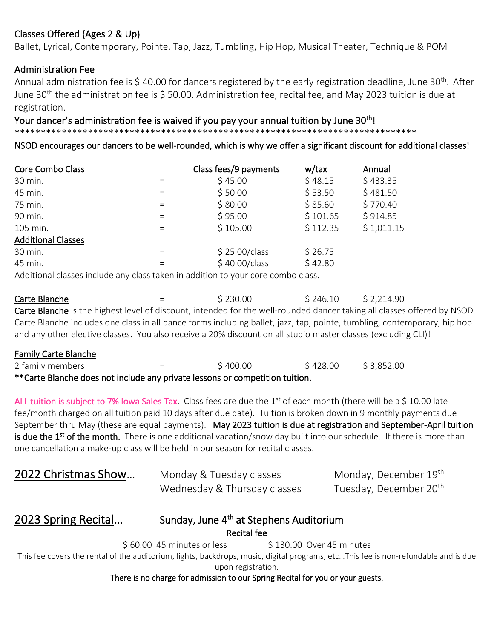## Classes Offered (Ages 2 & Up)

Ballet, Lyrical, Contemporary, Pointe, Tap, Jazz, Tumbling, Hip Hop, Musical Theater, Technique & POM

### Administration Fee

Annual administration fee is \$ 40.00 for dancers registered by the early registration deadline, June 30<sup>th</sup>. After June 30<sup>th</sup> the administration fee is \$50.00. Administration fee, recital fee, and May 2023 tuition is due at registration.

Your dancer's administration fee is waived if you pay your annual tuition by June 30<sup>th</sup>!

\*\*\*\*\*\*\*\*\*\*\*\*\*\*\*\*\*\*\*\*\*\*\*\*\*\*\*\*\*\*\*\*\*\*\*\*\*\*\*\*\*\*\*\*\*\*\*\*\*\*\*\*\*\*\*\*\*\*\*\*\*\*\*\*\*\*\*\*\*\*\*\*\*\*\*\*\*

NSOD encourages our dancers to be well-rounded, which is why we offer a significant discount for additional classes!

| Core Combo Class          |          | Class fees/9 payments | w/tax    | Annual     |
|---------------------------|----------|-----------------------|----------|------------|
| 30 min.                   | $=$      | \$45.00               | \$48.15  | \$433.35   |
| 45 min.                   | $\equiv$ | \$50.00               | \$53.50  | \$481.50   |
| 75 min.                   | $=$      | \$80.00               | \$85.60  | \$770.40   |
| 90 min.                   | $=$      | \$95.00               | \$101.65 | \$914.85   |
| 105 min.                  | $\equiv$ | \$105.00              | \$112.35 | \$1,011.15 |
| <b>Additional Classes</b> |          |                       |          |            |
| 30 min.                   | $=$      | \$25.00/class         | \$26.75  |            |
| 45 min.                   | $=$      | \$40.00/class         | \$42.80  |            |
|                           |          |                       |          |            |

Additional classes include any class taken in addition to your core combo class.

**Carte Blanche**  $=$   $\frac{1}{2}$  \$ 230.00 \$ 246.10 \$ 2,214.90 Carte Blanche is the highest level of discount, intended for the well-rounded dancer taking all classes offered by NSOD. Carte Blanche includes one class in all dance forms including ballet, jazz, tap, pointe, tumbling, contemporary, hip hop and any other elective classes. You also receive a 20% discount on all studio master classes (excluding CLI)!

| <b>Family Carte Blanche</b>                                                  |     |          |          |            |  |  |  |  |  |
|------------------------------------------------------------------------------|-----|----------|----------|------------|--|--|--|--|--|
| 2 family members                                                             | $=$ | \$400.00 | \$428.00 | \$3,852.00 |  |  |  |  |  |
| **Carte Blanche does not include any private lessons or competition tuition. |     |          |          |            |  |  |  |  |  |

ALL tuition is subject to 7% Iowa Sales Tax. Class fees are due the  $1<sup>st</sup>$  of each month (there will be a \$ 10.00 late fee/month charged on all tuition paid 10 days after due date). Tuition is broken down in 9 monthly payments due September thru May (these are equal payments). May 2023 tuition is due at registration and September-April tuition is due the 1<sup>st</sup> of the month. There is one additional vacation/snow day built into our schedule. If there is more than one cancellation a make-up class will be held in our season for recital classes.

| 2022 Christmas Show | Monday & Tuesday classes     | Monday, December 19 <sup>th</sup>  |  |  |  |
|---------------------|------------------------------|------------------------------------|--|--|--|
|                     | Wednesday & Thursday classes | Tuesday, December 20 <sup>th</sup> |  |  |  |

#### 2023 Spring Recital... <sup>th</sup> at Stephens Auditorium Recital fee

 $$60.00$  45 minutes or less  $$130.00$  Over 45 minutes This fee covers the rental of the auditorium, lights, backdrops, music, digital programs, etc…This fee is non-refundable and is due upon registration.

There is no charge for admission to our Spring Recital for you or your guests.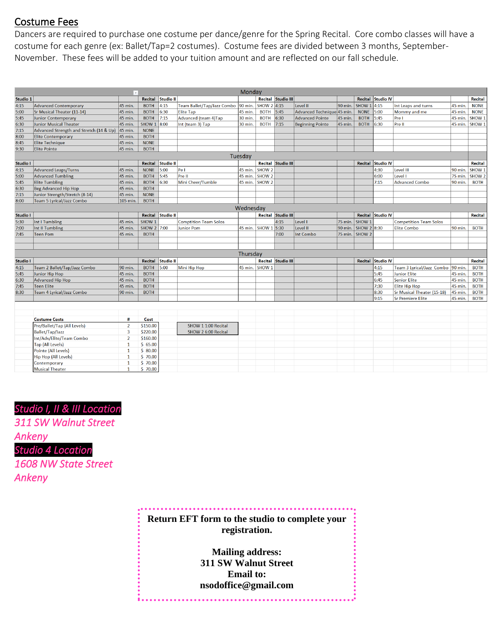## Costume Fees

Dancers are required to purchase one costume per dance/genre for the Spring Recital. Core combo classes will have a costume for each genre (ex: Ballet/Tap=2 costumes). Costume fees are divided between 3 months, September-November. These fees will be added to your tuition amount and are reflected on our fall schedule.

|          |                                         |          |             |                   |                              | Monday    |                   |                           |                            |          |                   |                          |                                   |         |                   |
|----------|-----------------------------------------|----------|-------------|-------------------|------------------------------|-----------|-------------------|---------------------------|----------------------------|----------|-------------------|--------------------------|-----------------------------------|---------|-------------------|
| Studio 1 |                                         |          | Recital     | Studio II         |                              |           |                   | <b>Recital Studio III</b> |                            |          |                   | <b>Recital Studio IV</b> |                                   |         | Recital           |
| 4:15     | Advanced Contemporary                   | 45 min.  | <b>BOTH</b> | 4:15              | Team Ballet/Tap/Jazz Combo   | 90 min.   | SHOW 2 4:15       |                           | Level II                   | 90 min.  | SHOW 1 4:15       |                          | Int Leaps and turns               | 45 min. | <b>NONE</b>       |
| 5:00     | Sr Musical Theater (11-14)              | 45 min.  | <b>BOTH</b> | 6:30              | <b>Elite Tap</b>             | 45 min.   | BOTH 5:45         |                           | Advanced Technique 45 min. |          | <b>NONE</b>       | 5:00                     | Mommy and me                      | 45 min. | <b>NONE</b>       |
| 5:45     | Junior Contemporary                     | 45 min.  | <b>BOTH</b> | 7:15              | Advanced (team 4)Tap         | 30 min.   | <b>BOTH</b>       | 6:30                      | <b>Advanced Pointe</b>     | 45 min.  | <b>BOTH</b>       | 5:45                     | Pre I                             | 45 min. | SHOW <sub>1</sub> |
| 6:30     | Junior Musical Theater                  | 45 min.  | SHOW 1 8:00 |                   | Int (team 3) Tap             | 30 min.   | <b>BOTH</b> 7:15  |                           | <b>Beginning Pointe</b>    | 45 min.  | <b>BOTH</b>       | 6:30                     | Pre II                            |         | 45 min. SHOW 1    |
| 7:15     | Advanced Strength and Stretch (14 & Up) | 45 min.  | <b>NONE</b> |                   |                              |           |                   |                           |                            |          |                   |                          |                                   |         |                   |
| 8:00     | <b>Elite Contemporary</b>               | 45 min.  | <b>BOTH</b> |                   |                              |           |                   |                           |                            |          |                   |                          |                                   |         |                   |
| 8:45     | <b>Elite Technique</b>                  | 45 min.  | <b>NONE</b> |                   |                              |           |                   |                           |                            |          |                   |                          |                                   |         |                   |
| 9:30     | <b>Elite Pointe</b>                     | 45 min.  | <b>BOTH</b> |                   |                              |           |                   |                           |                            |          |                   |                          |                                   |         |                   |
|          |                                         |          |             |                   |                              | Tuesdav   |                   |                           |                            |          |                   |                          |                                   |         |                   |
| Studio I |                                         |          |             | Recital Studio II |                              |           |                   | Recital Studio III        |                            |          |                   | Recital Studio IV        |                                   |         | Recital           |
| 4:15     | <b>Advanced Leaps/Turns</b>             | 45 min.  | <b>NONE</b> | 5:00              | Pe I                         | 45 min.   | SHOW <sub>2</sub> |                           |                            |          |                   | 4:30                     | Level III                         | 90 min. | SHOW <sub>1</sub> |
| 5:00     | <b>Advanced Tumbling</b>                | 45 min.  | <b>BOTH</b> | 5:45              | Pre II                       | 45 min.   | <b>SHOW 2</b>     |                           |                            |          |                   | 6:00                     | Level I                           | 75 min. | SHOW 2            |
| 5:45     | <b>Elite Tumbling</b>                   | 45 min.  | <b>BOTH</b> | 6:30              | Mini Cheer/Tumble            | 45 min.   | SHOW <sub>2</sub> |                           |                            |          |                   | 7:15                     | <b>Advanced Combo</b>             | 90 min. | <b>BOTH</b>       |
| 6:30     | <b>Beg Advanced Hip Hop</b>             | 45 min.  | <b>BOTH</b> |                   |                              |           |                   |                           |                            |          |                   |                          |                                   |         |                   |
| 7:15     | Junior Strength/Stretch (8-14)          | 45 min.  | <b>NONE</b> |                   |                              |           |                   |                           |                            |          |                   |                          |                                   |         |                   |
| 8:00     | Team 5 Lyrical/Jazz Combo               | 105 min. | <b>BOTH</b> |                   |                              |           |                   |                           |                            |          |                   |                          |                                   |         |                   |
|          |                                         |          |             |                   |                              | Wednesdav |                   |                           |                            |          |                   |                          |                                   |         |                   |
| Studio I |                                         |          | Recital     | Studio II         |                              |           | Recital           | <b>Studio III</b>         |                            |          | Recital           | Studio IV                |                                   |         | <b>Recital</b>    |
| 5:30     | Int I Tumbling                          | 45 min.  | SHOW 1      |                   | <b>Comptition Team Solos</b> |           |                   | 4:15                      | Level I                    | 75 min.  | SHOW <sub>1</sub> |                          | <b>Competition Team Solos</b>     |         |                   |
| 7:00     | Int II Tumbling                         | 45 min.  | SHOW 2 7:00 |                   | Junior Pom                   | 45 min.   | SHOW 1 5:30       |                           | Level II                   | 190 min. | SHOW 2 8:30       |                          | <b>Elite Combo</b>                | 90 min. | <b>BOTH</b>       |
| 7:45     | <b>Teen Pom</b>                         | 45 min.  | <b>BOTH</b> |                   |                              |           |                   | 7:00                      | Int Combo                  | 75 min.  | SHOW <sub>2</sub> |                          |                                   |         |                   |
|          |                                         |          |             |                   |                              |           |                   |                           |                            |          |                   |                          |                                   |         |                   |
|          |                                         |          |             |                   |                              |           |                   |                           |                            |          |                   |                          |                                   |         |                   |
|          |                                         |          |             |                   |                              | Thursday  |                   |                           |                            |          |                   |                          |                                   |         |                   |
| Studio I |                                         |          |             | Recital Studio II |                              |           |                   | <b>Recital Studio III</b> |                            |          |                   | <b>Recital Studio IV</b> |                                   |         | Recital           |
| 4:15     | Team 2 Ballet/Tap/Jazz Combo            | 90 min.  | <b>BOTH</b> | 5:00              | <b>Mini Hip Hop</b>          |           | 45 min. SHOW 1    |                           |                            |          |                   | 4:15                     | Team 3 Lyrical/Jazz Combo 90 min. |         | <b>BOTH</b>       |
| 5:45     | Junior Hip Hop                          | 45 min.  | <b>BOTH</b> |                   |                              |           |                   |                           |                            |          |                   | 5:45                     | <b>Junior Elite</b>               | 45 min. | <b>BOTH</b>       |
| 6:30     | <b>Advanced Hip Hop</b>                 | 45 min.  | <b>BOTH</b> |                   |                              |           |                   |                           |                            |          |                   | 6:45                     | Senior Elite                      | 45 min. | <b>BOTH</b>       |
| 7:45     | <b>Teen Elite</b>                       | 45 min.  | <b>BOTH</b> |                   |                              |           |                   |                           |                            |          |                   | 7:30                     | <b>Elite Hip Hop</b>              | 45 min. | <b>BOTH</b>       |
| 8:30     | Team 4 Lyrical/Jazz Combo               | 90 min.  | <b>BOTH</b> |                   |                              |           |                   |                           |                            |          |                   | 8:30                     | Sr Musical Theater (15-18)        | 45 min. | <b>BOTH</b>       |
|          |                                         |          |             |                   |                              |           |                   |                           |                            |          |                   | 9:15                     | Sr Premiere Elite                 | 45 min. | <b>BOTH</b>       |
|          |                                         |          |             |                   |                              |           |                   |                           |                            |          |                   |                          |                                   |         |                   |
|          |                                         |          |             |                   |                              |           |                   |                           |                            |          |                   |                          |                                   |         |                   |
|          | <b>Costume Costs</b>                    | #        | Cost        |                   |                              |           |                   |                           |                            |          |                   |                          |                                   |         |                   |

| <b>Costume Costs</b>        | Cost     |                     |  |  |  |  |  |
|-----------------------------|----------|---------------------|--|--|--|--|--|
| Pre/Ballet/Tap (All Levels) | \$150.00 | SHOW 1 1:00 Recital |  |  |  |  |  |
| <b>Ballet/Tap/Jazz</b>      | \$220.00 | SHOW 2 6:00 Recital |  |  |  |  |  |
| Int/Adv/Elite/Team Combo    | \$160.00 |                     |  |  |  |  |  |
| Tap (All Levels)            | \$65.00  |                     |  |  |  |  |  |
| Pointe (All Levels)         | \$80.00  |                     |  |  |  |  |  |
| Hip Hop (All Levels)        | \$70.00  |                     |  |  |  |  |  |
| Contemporary                | \$70.00  |                     |  |  |  |  |  |
| <b>Musical Theater</b>      | \$70.00  |                     |  |  |  |  |  |

## *Studio I, II & III Location*

*311 SW Walnut Street Ankeny Studio 4 Location 1608 NW State Street* 

*Ankeny* 

## **Return EFT form to the studio to complete your registration.**

**Mailing address: 311 SW Walnut Street Email to: [nsodoffice@gmail.com](mailto:nsodoffice@gmail.com)**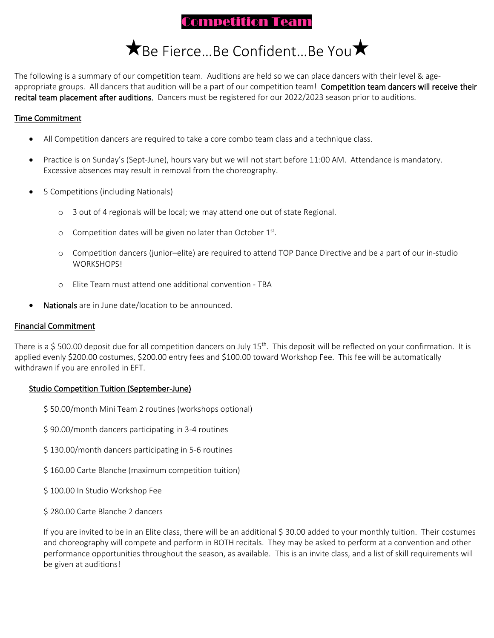## Competition Team

# **★Be Fierce...Be Confident...Be You★**

The following is a summary of our competition team. Auditions are held so we can place dancers with their level & ageappropriate groups. All dancers that audition will be a part of our competition team! Competition team dancers will receive their recital team placement after auditions. Dancers must be registered for our 2022/2023 season prior to auditions.

#### Time Commitment

- All Competition dancers are required to take a core combo team class and a technique class.
- Practice is on Sunday's (Sept-June), hours vary but we will not start before 11:00 AM. Attendance is mandatory. Excessive absences may result in removal from the choreography.
- 5 Competitions (including Nationals)
	- o 3 out of 4 regionals will be local; we may attend one out of state Regional.
	- $\circ$  Competition dates will be given no later than October  $1<sup>st</sup>$ .
	- o Competition dancers (junior–elite) are required to attend TOP Dance Directive and be a part of our in-studio WORKSHOPS!
	- o Elite Team must attend one additional convention TBA
- Nationals are in June date/location to be announced.

#### Financial Commitment

There is a \$ 500.00 deposit due for all competition dancers on July 15<sup>th</sup>. This deposit will be reflected on your confirmation. It is applied evenly \$200.00 costumes, \$200.00 entry fees and \$100.00 toward Workshop Fee. This fee will be automatically withdrawn if you are enrolled in EFT.

#### Studio Competition Tuition (September-June)

- \$ 50.00/month Mini Team 2 routines (workshops optional)
- \$ 90.00/month dancers participating in 3-4 routines
- \$ 130.00/month dancers participating in 5-6 routines
- \$160.00 Carte Blanche (maximum competition tuition)
- \$ 100.00 In Studio Workshop Fee
- \$ 280.00 Carte Blanche 2 dancers

If you are invited to be in an Elite class, there will be an additional \$ 30.00 added to your monthly tuition. Their costumes and choreography will compete and perform in BOTH recitals. They may be asked to perform at a convention and other performance opportunities throughout the season, as available. This is an invite class, and a list of skill requirements will be given at auditions!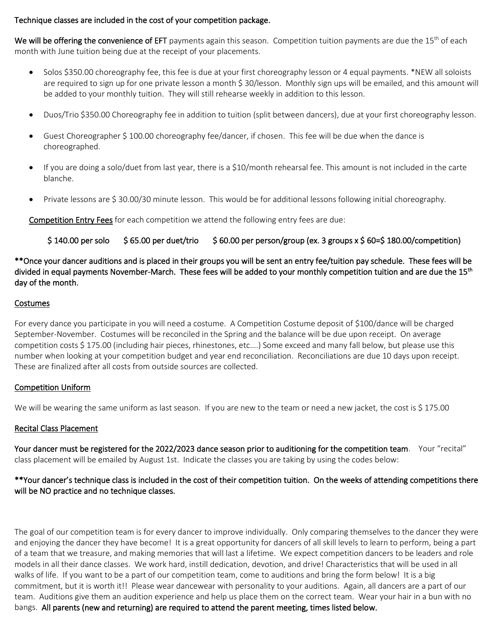#### Technique classes are included in the cost of your competition package.

We will be offering the convenience of EFT payments again this season. Competition tuition payments are due the  $15<sup>th</sup>$  of each month with June tuition being due at the receipt of your placements.

- Solos \$350.00 choreography fee, this fee is due at your first choreography lesson or 4 equal payments. \*NEW all soloists are required to sign up for one private lesson a month \$ 30/lesson. Monthly sign ups will be emailed, and this amount will be added to your monthly tuition. They will still rehearse weekly in addition to this lesson.
- Duos/Trio \$350.00 Choreography fee in addition to tuition (split between dancers), due at your first choreography lesson.
- Guest Choreographer \$ 100.00 choreography fee/dancer, if chosen. This fee will be due when the dance is choreographed.
- If you are doing a solo/duet from last year, there is a \$10/month rehearsal fee. This amount is not included in the carte blanche.
- Private lessons are \$ 30.00/30 minute lesson. This would be for additional lessons following initial choreography.

Competition Entry Fees for each competition we attend the following entry fees are due:

#### $$140.00$  per solo  $$65.00$  per duet/trio  $$60.00$  per person/group (ex. 3 groups x  $$60=$180.00/competition)$

\*\*Once your dancer auditions and is placed in their groups you will be sent an entry fee/tuition pay schedule. These fees will be divided in equal payments November-March. These fees will be added to your monthly competition tuition and are due the 15<sup>th</sup> day of the month.

#### Costumes

For every dance you participate in you will need a costume. A Competition Costume deposit of \$100/dance will be charged September-November. Costumes will be reconciled in the Spring and the balance will be due upon receipt. On average competition costs \$ 175.00 (including hair pieces, rhinestones, etc….) Some exceed and many fall below, but please use this number when looking at your competition budget and year end reconciliation. Reconciliations are due 10 days upon receipt. These are finalized after all costs from outside sources are collected.

#### Competition Uniform

We will be wearing the same uniform as last season. If you are new to the team or need a new jacket, the cost is \$ 175.00

#### Recital Class Placement

Your dancer must be registered for the 2022/2023 dance season prior to auditioning for the competition team. Your "recital" class placement will be emailed by August 1st. Indicate the classes you are taking by using the codes below:

#### \*\*Your dancer's technique class is included in the cost of their competition tuition. On the weeks of attending competitions there will be NO practice and no technique classes.

The goal of our competition team is for every dancer to improve individually. Only comparing themselves to the dancer they were and enjoying the dancer they have become! It is a great opportunity for dancers of all skill levels to learn to perform, being a part of a team that we treasure, and making memories that will last a lifetime. We expect competition dancers to be leaders and role models in all their dance classes. We work hard, instill dedication, devotion, and drive! Characteristics that will be used in all walks of life. If you want to be a part of our competition team, come to auditions and bring the form below! It is a big commitment, but it is worth it!! Please wear dancewear with personality to your auditions. Again, all dancers are a part of our team. Auditions give them an audition experience and help us place them on the correct team. Wear your hair in a bun with no bangs. All parents (new and returning) are required to attend the parent meeting, times listed below.